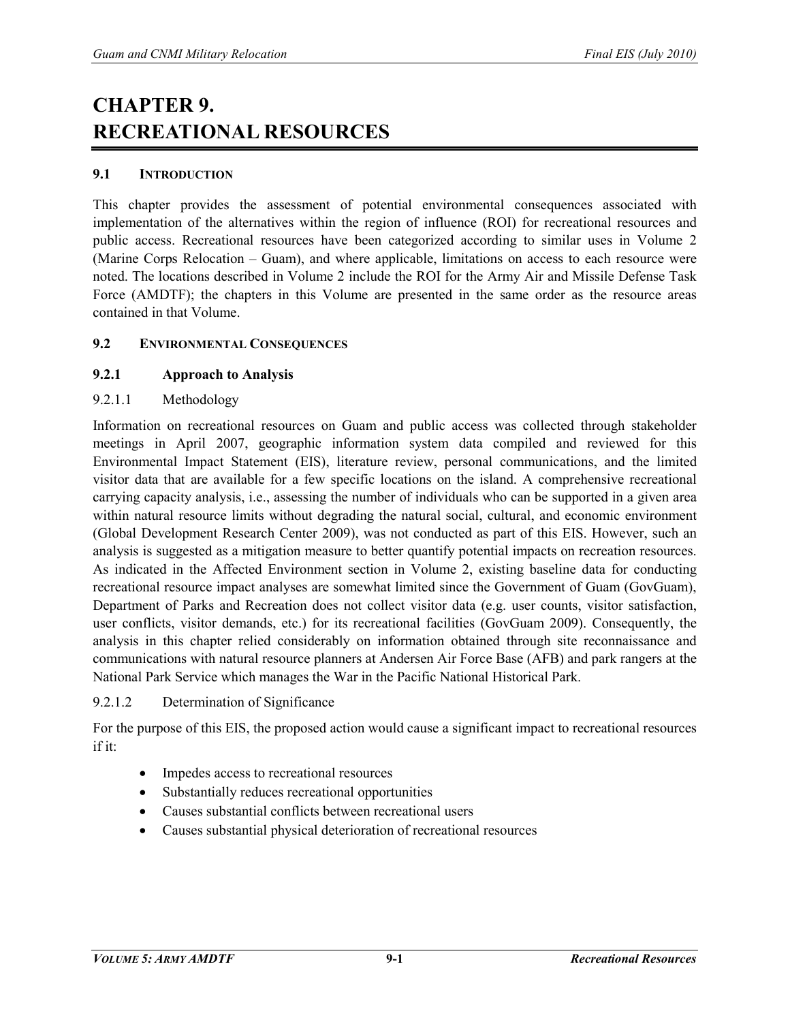# **CHAPTER 9. RECREATIONAL RESOURCES**

## **9.1 INTRODUCTION**

This chapter provides the assessment of potential environmental consequences associated with implementation of the alternatives within the region of influence (ROI) for recreational resources and public access. Recreational resources have been categorized according to similar uses in Volume 2 (Marine Corps Relocation – Guam), and where applicable, limitations on access to each resource were noted. The locations described in Volume 2 include the ROI for the Army Air and Missile Defense Task Force (AMDTF); the chapters in this Volume are presented in the same order as the resource areas contained in that Volume.

## **9.2 ENVIRONMENTAL CONSEQUENCES**

## **9.2.1 Approach to Analysis**

## 9.2.1.1 Methodology

Information on recreational resources on Guam and public access was collected through stakeholder meetings in April 2007, geographic information system data compiled and reviewed for this Environmental Impact Statement (EIS), literature review, personal communications, and the limited visitor data that are available for a few specific locations on the island. A comprehensive recreational carrying capacity analysis, i.e., assessing the number of individuals who can be supported in a given area within natural resource limits without degrading the natural social, cultural, and economic environment (Global Development Research Center 2009), was not conducted as part of this EIS. However, such an analysis is suggested as a mitigation measure to better quantify potential impacts on recreation resources. As indicated in the Affected Environment section in Volume 2, existing baseline data for conducting recreational resource impact analyses are somewhat limited since the Government of Guam (GovGuam), Department of Parks and Recreation does not collect visitor data (e.g. user counts, visitor satisfaction, user conflicts, visitor demands, etc.) for its recreational facilities (GovGuam 2009). Consequently, the analysis in this chapter relied considerably on information obtained through site reconnaissance and communications with natural resource planners at Andersen Air Force Base (AFB) and park rangers at the National Park Service which manages the War in the Pacific National Historical Park.

#### 9.2.1.2 Determination of Significance

For the purpose of this EIS, the proposed action would cause a significant impact to recreational resources if it:

- Impedes access to recreational resources
- Substantially reduces recreational opportunities
- Causes substantial conflicts between recreational users
- Causes substantial physical deterioration of recreational resources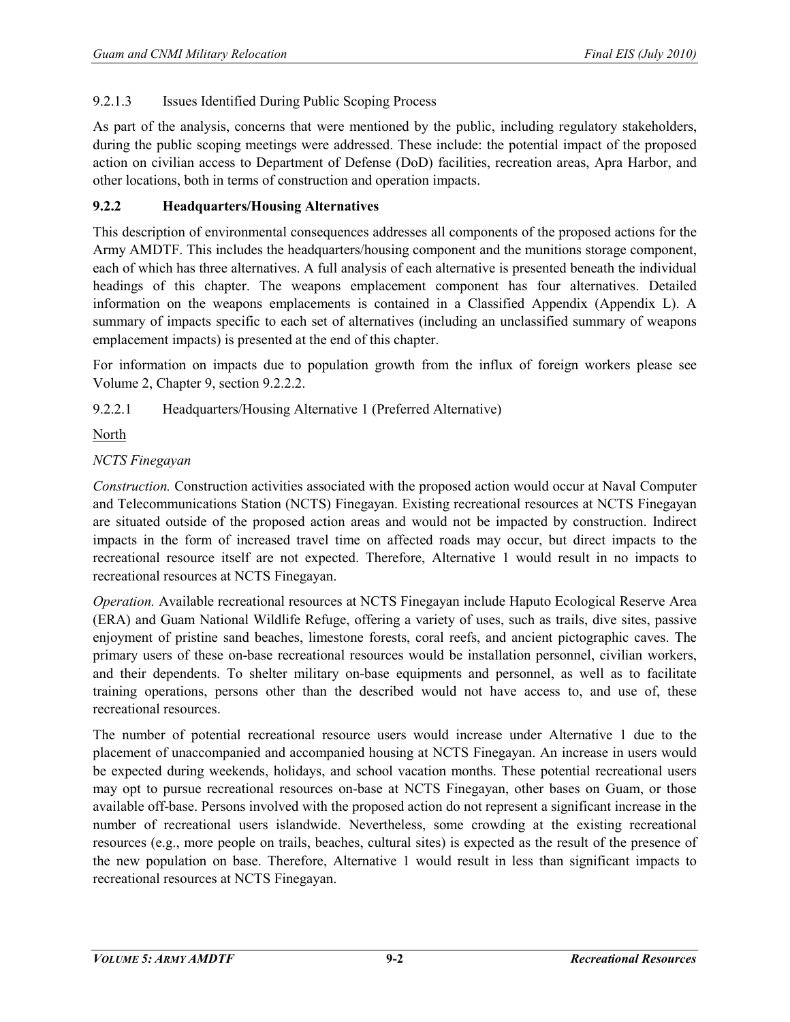## 9.2.1.3 Issues Identified During Public Scoping Process

As part of the analysis, concerns that were mentioned by the public, including regulatory stakeholders, during the public scoping meetings were addressed. These include: the potential impact of the proposed action on civilian access to Department of Defense (DoD) facilities, recreation areas, Apra Harbor, and other locations, both in terms of construction and operation impacts.

## **9.2.2 Headquarters/Housing Alternatives**

This description of environmental consequences addresses all components of the proposed actions for the Army AMDTF. This includes the headquarters/housing component and the munitions storage component, each of which has three alternatives. A full analysis of each alternative is presented beneath the individual headings of this chapter. The weapons emplacement component has four alternatives. Detailed information on the weapons emplacements is contained in a Classified Appendix (Appendix L). A summary of impacts specific to each set of alternatives (including an unclassified summary of weapons emplacement impacts) is presented at the end of this chapter.

For information on impacts due to population growth from the influx of foreign workers please see Volume 2, Chapter 9, section 9.2.2.2.

9.2.2.1 Headquarters/Housing Alternative 1 (Preferred Alternative)

North

## *NCTS Finegayan*

*Construction.* Construction activities associated with the proposed action would occur at Naval Computer and Telecommunications Station (NCTS) Finegayan. Existing recreational resources at NCTS Finegayan are situated outside of the proposed action areas and would not be impacted by construction. Indirect impacts in the form of increased travel time on affected roads may occur, but direct impacts to the recreational resource itself are not expected. Therefore, Alternative 1 would result in no impacts to recreational resources at NCTS Finegayan.

*Operation.* Available recreational resources at NCTS Finegayan include Haputo Ecological Reserve Area (ERA) and Guam National Wildlife Refuge, offering a variety of uses, such as trails, dive sites, passive enjoyment of pristine sand beaches, limestone forests, coral reefs, and ancient pictographic caves. The primary users of these on-base recreational resources would be installation personnel, civilian workers, and their dependents. To shelter military on-base equipments and personnel, as well as to facilitate training operations, persons other than the described would not have access to, and use of, these recreational resources.

The number of potential recreational resource users would increase under Alternative 1 due to the placement of unaccompanied and accompanied housing at NCTS Finegayan. An increase in users would be expected during weekends, holidays, and school vacation months. These potential recreational users may opt to pursue recreational resources on-base at NCTS Finegayan, other bases on Guam, or those available off-base. Persons involved with the proposed action do not represent a significant increase in the number of recreational users islandwide. Nevertheless, some crowding at the existing recreational resources (e.g., more people on trails, beaches, cultural sites) is expected as the result of the presence of the new population on base. Therefore, Alternative 1 would result in less than significant impacts to recreational resources at NCTS Finegayan.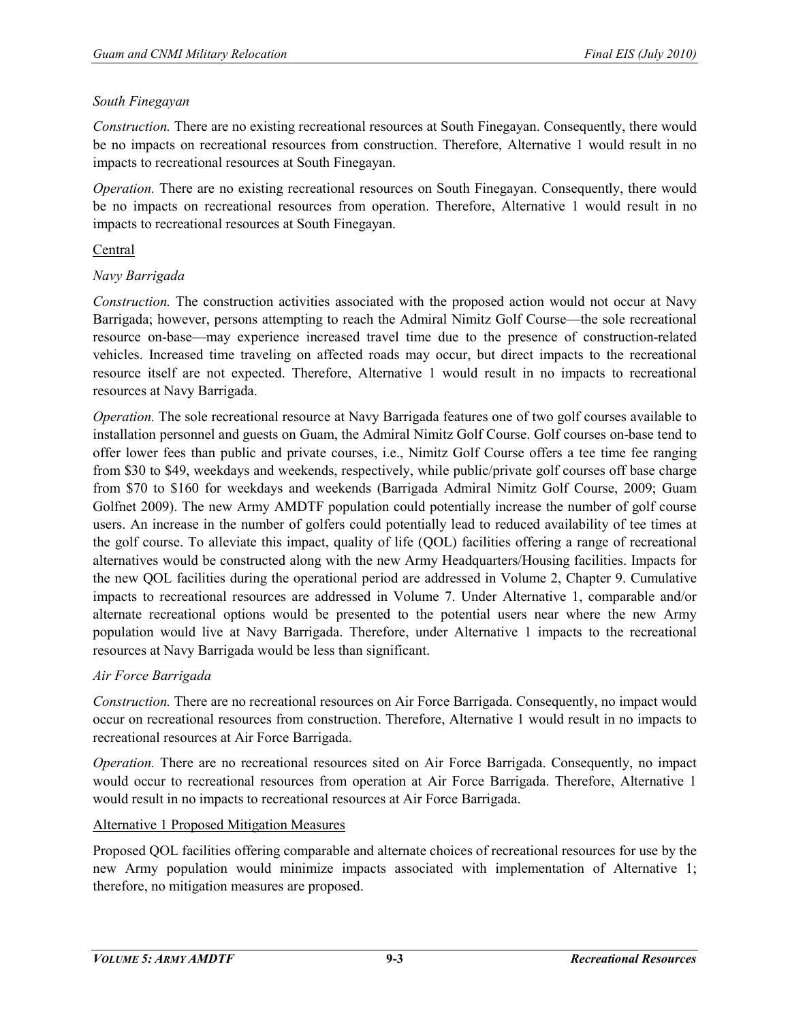## *South Finegayan*

*Construction.* There are no existing recreational resources at South Finegayan. Consequently, there would be no impacts on recreational resources from construction. Therefore, Alternative 1 would result in no impacts to recreational resources at South Finegayan.

*Operation.* There are no existing recreational resources on South Finegayan. Consequently, there would be no impacts on recreational resources from operation. Therefore, Alternative 1 would result in no impacts to recreational resources at South Finegayan.

## Central

## *Navy Barrigada*

*Construction.* The construction activities associated with the proposed action would not occur at Navy Barrigada; however, persons attempting to reach the Admiral Nimitz Golf Course—the sole recreational resource on-base—may experience increased travel time due to the presence of construction-related vehicles. Increased time traveling on affected roads may occur, but direct impacts to the recreational resource itself are not expected. Therefore, Alternative 1 would result in no impacts to recreational resources at Navy Barrigada.

*Operation.* The sole recreational resource at Navy Barrigada features one of two golf courses available to installation personnel and guests on Guam, the Admiral Nimitz Golf Course. Golf courses on-base tend to offer lower fees than public and private courses, i.e., Nimitz Golf Course offers a tee time fee ranging from \$30 to \$49, weekdays and weekends, respectively, while public/private golf courses off base charge from \$70 to \$160 for weekdays and weekends (Barrigada Admiral Nimitz Golf Course, 2009; Guam Golfnet 2009). The new Army AMDTF population could potentially increase the number of golf course users. An increase in the number of golfers could potentially lead to reduced availability of tee times at the golf course. To alleviate this impact, quality of life (QOL) facilities offering a range of recreational alternatives would be constructed along with the new Army Headquarters/Housing facilities. Impacts for the new QOL facilities during the operational period are addressed in Volume 2, Chapter 9. Cumulative impacts to recreational resources are addressed in Volume 7. Under Alternative 1, comparable and/or alternate recreational options would be presented to the potential users near where the new Army population would live at Navy Barrigada. Therefore, under Alternative 1 impacts to the recreational resources at Navy Barrigada would be less than significant.

# *Air Force Barrigada*

*Construction.* There are no recreational resources on Air Force Barrigada. Consequently, no impact would occur on recreational resources from construction. Therefore, Alternative 1 would result in no impacts to recreational resources at Air Force Barrigada.

*Operation.* There are no recreational resources sited on Air Force Barrigada. Consequently, no impact would occur to recreational resources from operation at Air Force Barrigada. Therefore, Alternative 1 would result in no impacts to recreational resources at Air Force Barrigada.

# Alternative 1 Proposed Mitigation Measures

Proposed QOL facilities offering comparable and alternate choices of recreational resources for use by the new Army population would minimize impacts associated with implementation of Alternative 1; therefore, no mitigation measures are proposed.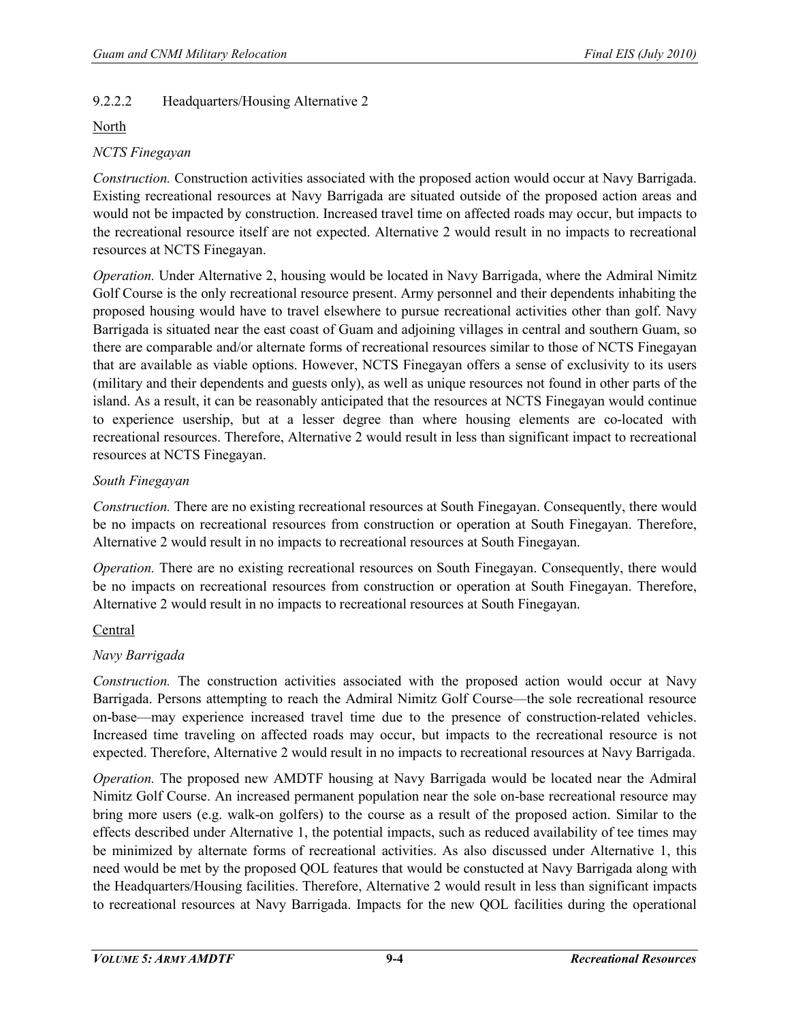# 9.2.2.2 Headquarters/Housing Alternative 2

#### North

## *NCTS Finegayan*

*Construction.* Construction activities associated with the proposed action would occur at Navy Barrigada. Existing recreational resources at Navy Barrigada are situated outside of the proposed action areas and would not be impacted by construction. Increased travel time on affected roads may occur, but impacts to the recreational resource itself are not expected. Alternative 2 would result in no impacts to recreational resources at NCTS Finegayan.

*Operation.* Under Alternative 2, housing would be located in Navy Barrigada, where the Admiral Nimitz Golf Course is the only recreational resource present. Army personnel and their dependents inhabiting the proposed housing would have to travel elsewhere to pursue recreational activities other than golf. Navy Barrigada is situated near the east coast of Guam and adjoining villages in central and southern Guam, so there are comparable and/or alternate forms of recreational resources similar to those of NCTS Finegayan that are available as viable options. However, NCTS Finegayan offers a sense of exclusivity to its users (military and their dependents and guests only), as well as unique resources not found in other parts of the island. As a result, it can be reasonably anticipated that the resources at NCTS Finegayan would continue to experience usership, but at a lesser degree than where housing elements are co-located with recreational resources. Therefore, Alternative 2 would result in less than significant impact to recreational resources at NCTS Finegayan.

#### *South Finegayan*

*Construction.* There are no existing recreational resources at South Finegayan. Consequently, there would be no impacts on recreational resources from construction or operation at South Finegayan. Therefore, Alternative 2 would result in no impacts to recreational resources at South Finegayan.

*Operation.* There are no existing recreational resources on South Finegayan. Consequently, there would be no impacts on recreational resources from construction or operation at South Finegayan. Therefore, Alternative 2 would result in no impacts to recreational resources at South Finegayan.

# Central

#### *Navy Barrigada*

*Construction.* The construction activities associated with the proposed action would occur at Navy Barrigada. Persons attempting to reach the Admiral Nimitz Golf Course—the sole recreational resource on-base—may experience increased travel time due to the presence of construction-related vehicles. Increased time traveling on affected roads may occur, but impacts to the recreational resource is not expected. Therefore, Alternative 2 would result in no impacts to recreational resources at Navy Barrigada.

*Operation.* The proposed new AMDTF housing at Navy Barrigada would be located near the Admiral Nimitz Golf Course. An increased permanent population near the sole on-base recreational resource may bring more users (e.g. walk-on golfers) to the course as a result of the proposed action. Similar to the effects described under Alternative 1, the potential impacts, such as reduced availability of tee times may be minimized by alternate forms of recreational activities. As also discussed under Alternative 1, this need would be met by the proposed QOL features that would be constucted at Navy Barrigada along with the Headquarters/Housing facilities. Therefore, Alternative 2 would result in less than significant impacts to recreational resources at Navy Barrigada. Impacts for the new QOL facilities during the operational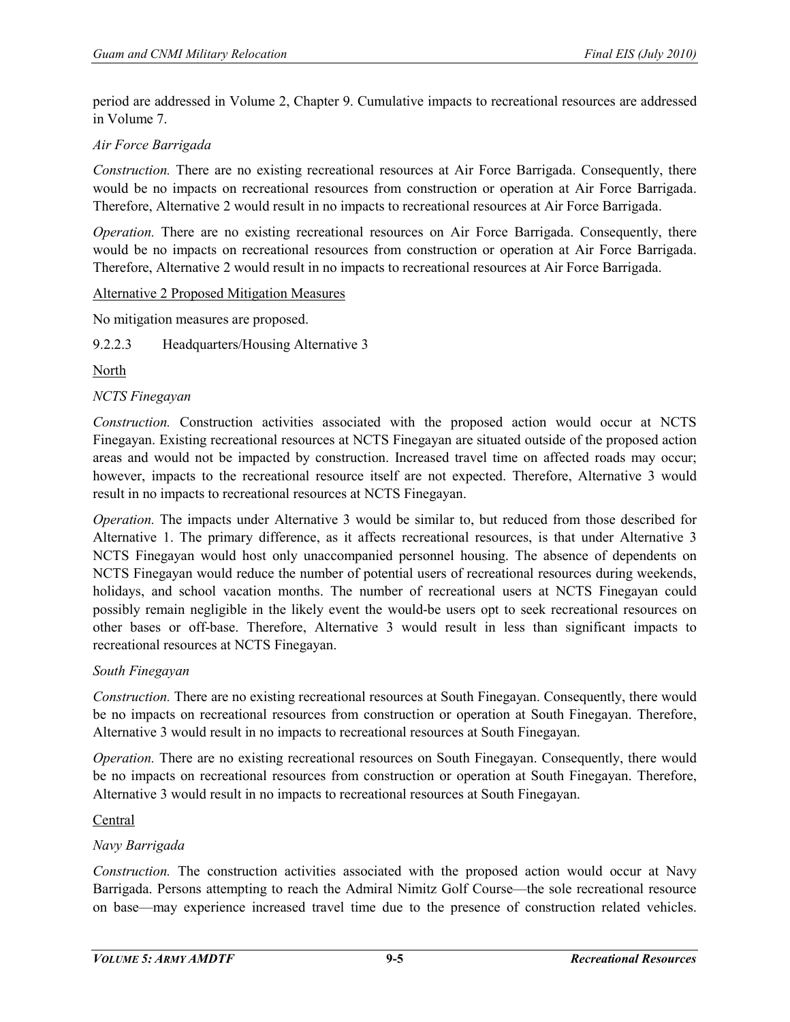period are addressed in Volume 2, Chapter 9. Cumulative impacts to recreational resources are addressed in Volume 7.

## *Air Force Barrigada*

*Construction.* There are no existing recreational resources at Air Force Barrigada. Consequently, there would be no impacts on recreational resources from construction or operation at Air Force Barrigada. Therefore, Alternative 2 would result in no impacts to recreational resources at Air Force Barrigada.

*Operation.* There are no existing recreational resources on Air Force Barrigada. Consequently, there would be no impacts on recreational resources from construction or operation at Air Force Barrigada. Therefore, Alternative 2 would result in no impacts to recreational resources at Air Force Barrigada.

#### Alternative 2 Proposed Mitigation Measures

No mitigation measures are proposed.

9.2.2.3 Headquarters/Housing Alternative 3

North

#### *NCTS Finegayan*

*Construction.* Construction activities associated with the proposed action would occur at NCTS Finegayan. Existing recreational resources at NCTS Finegayan are situated outside of the proposed action areas and would not be impacted by construction. Increased travel time on affected roads may occur; however, impacts to the recreational resource itself are not expected. Therefore, Alternative 3 would result in no impacts to recreational resources at NCTS Finegayan.

*Operation.* The impacts under Alternative 3 would be similar to, but reduced from those described for Alternative 1. The primary difference, as it affects recreational resources, is that under Alternative 3 NCTS Finegayan would host only unaccompanied personnel housing. The absence of dependents on NCTS Finegayan would reduce the number of potential users of recreational resources during weekends, holidays, and school vacation months. The number of recreational users at NCTS Finegayan could possibly remain negligible in the likely event the would-be users opt to seek recreational resources on other bases or off-base. Therefore, Alternative 3 would result in less than significant impacts to recreational resources at NCTS Finegayan.

#### *South Finegayan*

*Construction.* There are no existing recreational resources at South Finegayan. Consequently, there would be no impacts on recreational resources from construction or operation at South Finegayan. Therefore, Alternative 3 would result in no impacts to recreational resources at South Finegayan.

*Operation.* There are no existing recreational resources on South Finegayan. Consequently, there would be no impacts on recreational resources from construction or operation at South Finegayan. Therefore, Alternative 3 would result in no impacts to recreational resources at South Finegayan.

#### Central

#### *Navy Barrigada*

*Construction.* The construction activities associated with the proposed action would occur at Navy Barrigada. Persons attempting to reach the Admiral Nimitz Golf Course—the sole recreational resource on base—may experience increased travel time due to the presence of construction related vehicles.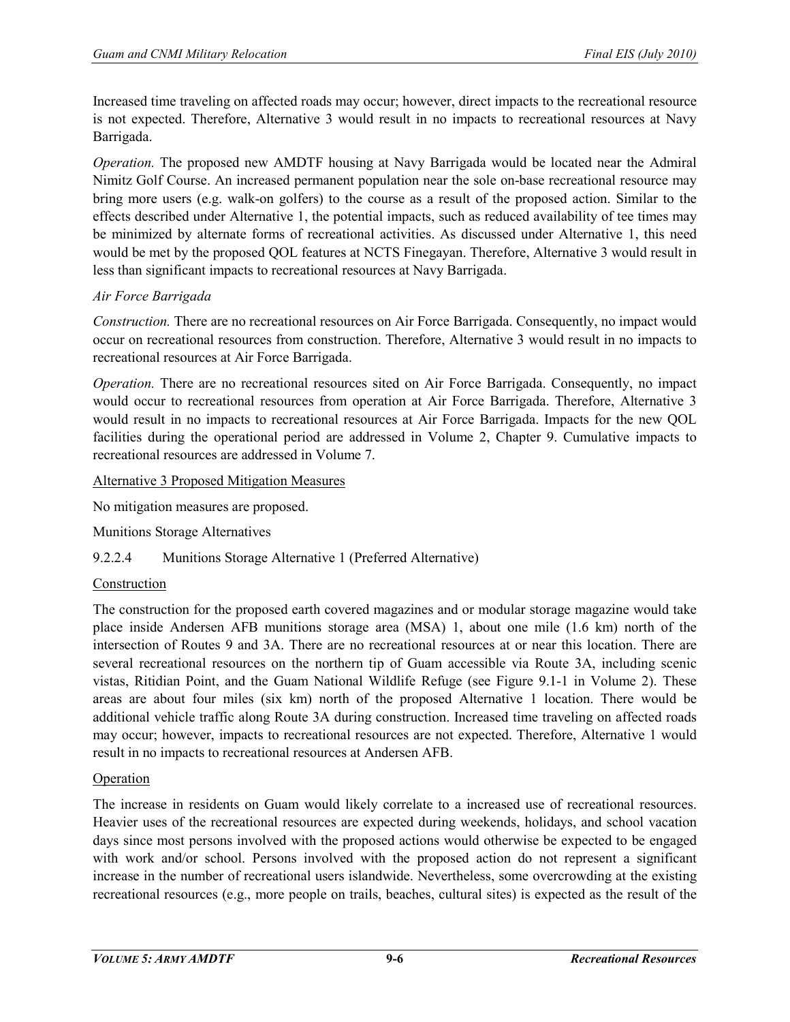Increased time traveling on affected roads may occur; however, direct impacts to the recreational resource is not expected. Therefore, Alternative 3 would result in no impacts to recreational resources at Navy Barrigada.

*Operation.* The proposed new AMDTF housing at Navy Barrigada would be located near the Admiral Nimitz Golf Course. An increased permanent population near the sole on-base recreational resource may bring more users (e.g. walk-on golfers) to the course as a result of the proposed action. Similar to the effects described under Alternative 1, the potential impacts, such as reduced availability of tee times may be minimized by alternate forms of recreational activities. As discussed under Alternative 1, this need would be met by the proposed QOL features at NCTS Finegayan. Therefore, Alternative 3 would result in less than significant impacts to recreational resources at Navy Barrigada.

# *Air Force Barrigada*

*Construction.* There are no recreational resources on Air Force Barrigada. Consequently, no impact would occur on recreational resources from construction. Therefore, Alternative 3 would result in no impacts to recreational resources at Air Force Barrigada.

*Operation.* There are no recreational resources sited on Air Force Barrigada. Consequently, no impact would occur to recreational resources from operation at Air Force Barrigada. Therefore, Alternative 3 would result in no impacts to recreational resources at Air Force Barrigada. Impacts for the new QOL facilities during the operational period are addressed in Volume 2, Chapter 9. Cumulative impacts to recreational resources are addressed in Volume 7.

#### Alternative 3 Proposed Mitigation Measures

No mitigation measures are proposed.

Munitions Storage Alternatives

# 9.2.2.4 Munitions Storage Alternative 1 (Preferred Alternative)

#### Construction

The construction for the proposed earth covered magazines and or modular storage magazine would take place inside Andersen AFB munitions storage area (MSA) 1, about one mile (1.6 km) north of the intersection of Routes 9 and 3A. There are no recreational resources at or near this location. There are several recreational resources on the northern tip of Guam accessible via Route 3A, including scenic vistas, Ritidian Point, and the Guam National Wildlife Refuge (see Figure 9.1-1 in Volume 2). These areas are about four miles (six km) north of the proposed Alternative 1 location. There would be additional vehicle traffic along Route 3A during construction. Increased time traveling on affected roads may occur; however, impacts to recreational resources are not expected. Therefore, Alternative 1 would result in no impacts to recreational resources at Andersen AFB.

#### **Operation**

The increase in residents on Guam would likely correlate to a increased use of recreational resources. Heavier uses of the recreational resources are expected during weekends, holidays, and school vacation days since most persons involved with the proposed actions would otherwise be expected to be engaged with work and/or school. Persons involved with the proposed action do not represent a significant increase in the number of recreational users islandwide. Nevertheless, some overcrowding at the existing recreational resources (e.g., more people on trails, beaches, cultural sites) is expected as the result of the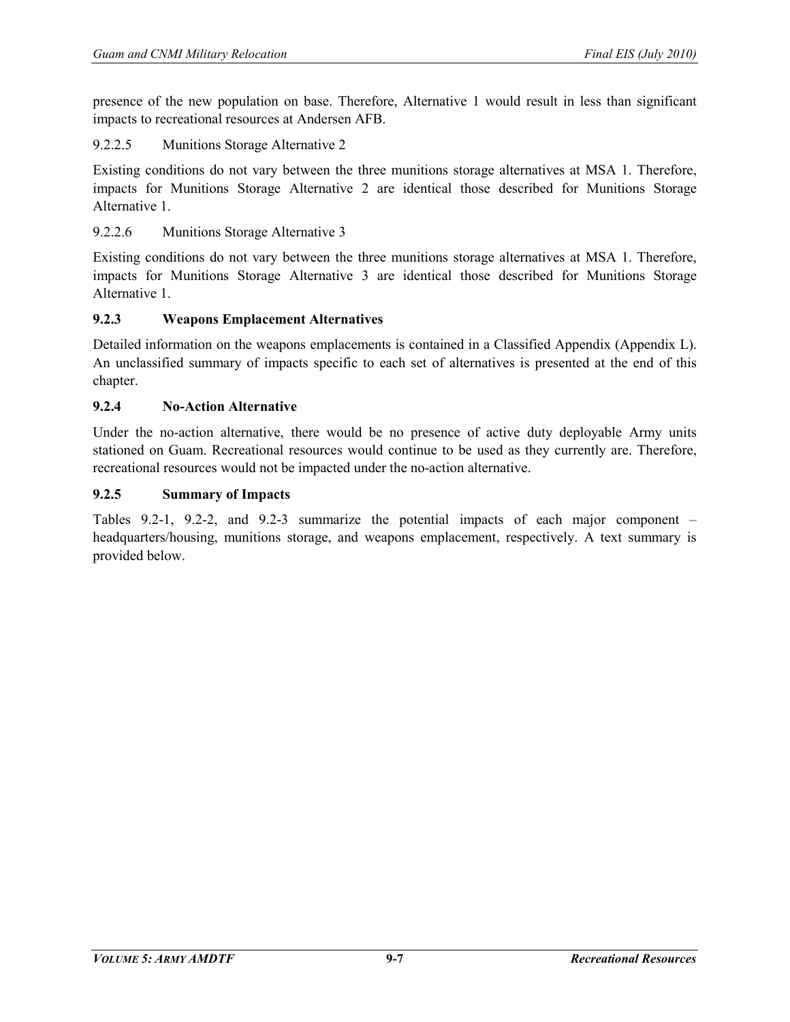presence of the new population on base. Therefore, Alternative 1 would result in less than significant impacts to recreational resources at Andersen AFB.

#### 9.2.2.5 Munitions Storage Alternative 2

Existing conditions do not vary between the three munitions storage alternatives at MSA 1. Therefore, impacts for Munitions Storage Alternative 2 are identical those described for Munitions Storage Alternative 1.

## 9.2.2.6 Munitions Storage Alternative 3

Existing conditions do not vary between the three munitions storage alternatives at MSA 1. Therefore, impacts for Munitions Storage Alternative 3 are identical those described for Munitions Storage Alternative 1.

#### **9.2.3 Weapons Emplacement Alternatives**

Detailed information on the weapons emplacements is contained in a Classified Appendix (Appendix L). An unclassified summary of impacts specific to each set of alternatives is presented at the end of this chapter.

#### **9.2.4 No-Action Alternative**

Under the no-action alternative, there would be no presence of active duty deployable Army units stationed on Guam. Recreational resources would continue to be used as they currently are. Therefore, recreational resources would not be impacted under the no-action alternative.

#### **9.2.5 Summary of Impacts**

Tables 9.2-1, 9.2-2, and 9.2-3 summarize the potential impacts of each major component – headquarters/housing, munitions storage, and weapons emplacement, respectively. A text summary is provided below.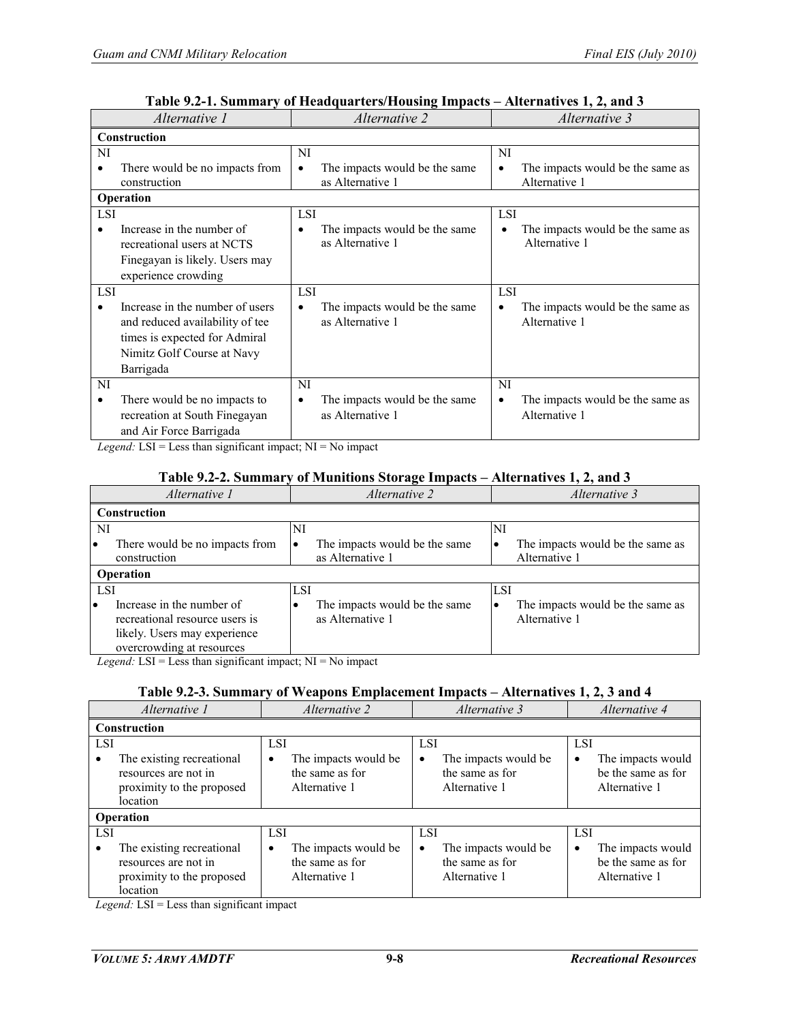| Alternative 1                                | Alternative 2                      | Alternative 3                                 |  |  |  |
|----------------------------------------------|------------------------------------|-----------------------------------------------|--|--|--|
| <b>Construction</b>                          |                                    |                                               |  |  |  |
| NI                                           | NI                                 | <b>NI</b>                                     |  |  |  |
| There would be no impacts from               | The impacts would be the same      | The impacts would be the same as<br>٠         |  |  |  |
| construction                                 | as Alternative 1                   | Alternative 1                                 |  |  |  |
| <b>Operation</b>                             |                                    |                                               |  |  |  |
| <b>LSI</b>                                   | <b>LSI</b>                         | <b>LSI</b>                                    |  |  |  |
| Increase in the number of                    | The impacts would be the same      | The impacts would be the same as              |  |  |  |
| recreational users at NCTS                   | as Alternative 1                   | Alternative 1                                 |  |  |  |
| Finegayan is likely. Users may               |                                    |                                               |  |  |  |
| experience crowding                          |                                    |                                               |  |  |  |
| <b>LSI</b>                                   | <b>LSI</b>                         | <b>LSI</b>                                    |  |  |  |
| Increase in the number of users<br>$\bullet$ | The impacts would be the same<br>٠ | The impacts would be the same as<br>٠         |  |  |  |
| and reduced availability of tee              | as Alternative 1                   | Alternative 1                                 |  |  |  |
| times is expected for Admiral                |                                    |                                               |  |  |  |
| Nimitz Golf Course at Navy                   |                                    |                                               |  |  |  |
| Barrigada                                    |                                    |                                               |  |  |  |
| NI                                           | NI                                 | NI                                            |  |  |  |
| There would be no impacts to<br>$\bullet$    | The impacts would be the same<br>٠ | The impacts would be the same as<br>$\bullet$ |  |  |  |
| recreation at South Finegayan                | as Alternative 1                   | Alternative 1                                 |  |  |  |
| and Air Force Barrigada                      |                                    |                                               |  |  |  |

## **Table 9.2-1. Summary of Headquarters/Housing Impacts – Alternatives 1, 2, and 3**

*Legend:* LSI = Less than significant impact; NI = No impact

#### **Table 9.2-2. Summary of Munitions Storage Impacts – Alternatives 1, 2, and 3**

| Alternative 1                                                                                                                         | Alternative 2                                     | Alternative 3                                          |  |  |  |
|---------------------------------------------------------------------------------------------------------------------------------------|---------------------------------------------------|--------------------------------------------------------|--|--|--|
| <b>Construction</b>                                                                                                                   |                                                   |                                                        |  |  |  |
| NI                                                                                                                                    | NI                                                | NI                                                     |  |  |  |
| There would be no impacts from<br>$\bullet$<br>construction                                                                           | The impacts would be the same<br>as Alternative 1 | The impacts would be the same as<br>Alternative 1      |  |  |  |
| <b>Operation</b>                                                                                                                      |                                                   |                                                        |  |  |  |
| <b>LSI</b>                                                                                                                            | LSI                                               | <b>LSI</b>                                             |  |  |  |
| Increase in the number of<br>$\bullet$<br>recreational resource users is<br>likely. Users may experience<br>overcrowding at resources | The impacts would be the same<br>as Alternative 1 | The impacts would be the same as<br>٠<br>Alternative 1 |  |  |  |

*Legend:* LSI = Less than significant impact; NI = No impact

#### **Table 9.2-3. Summary of Weapons Emplacement Impacts – Alternatives 1, 2, 3 and 4**

| Alternative 1                                                                                            | Alternative 2                                                               | Alternative 3                                                               | Alternative 4                                                               |
|----------------------------------------------------------------------------------------------------------|-----------------------------------------------------------------------------|-----------------------------------------------------------------------------|-----------------------------------------------------------------------------|
| <b>Construction</b>                                                                                      |                                                                             |                                                                             |                                                                             |
| <b>LSI</b><br>The existing recreational<br>resources are not in<br>proximity to the proposed<br>location | <b>LSI</b><br>The impacts would be<br>٠<br>the same as for<br>Alternative 1 | <b>LSI</b><br>The impacts would be<br>٠<br>the same as for<br>Alternative 1 | <b>LSI</b><br>The impacts would<br>٠<br>be the same as for<br>Alternative 1 |
| <b>Operation</b>                                                                                         |                                                                             |                                                                             |                                                                             |
| <b>LSI</b><br>The existing recreational<br>resources are not in<br>proximity to the proposed<br>location | <b>LSI</b><br>The impacts would be<br>٠<br>the same as for<br>Alternative 1 | <b>LSI</b><br>The impacts would be<br>٠<br>the same as for<br>Alternative 1 | <b>LSI</b><br>The impacts would<br>٠<br>be the same as for<br>Alternative 1 |

*Legend:* LSI = Less than significant impact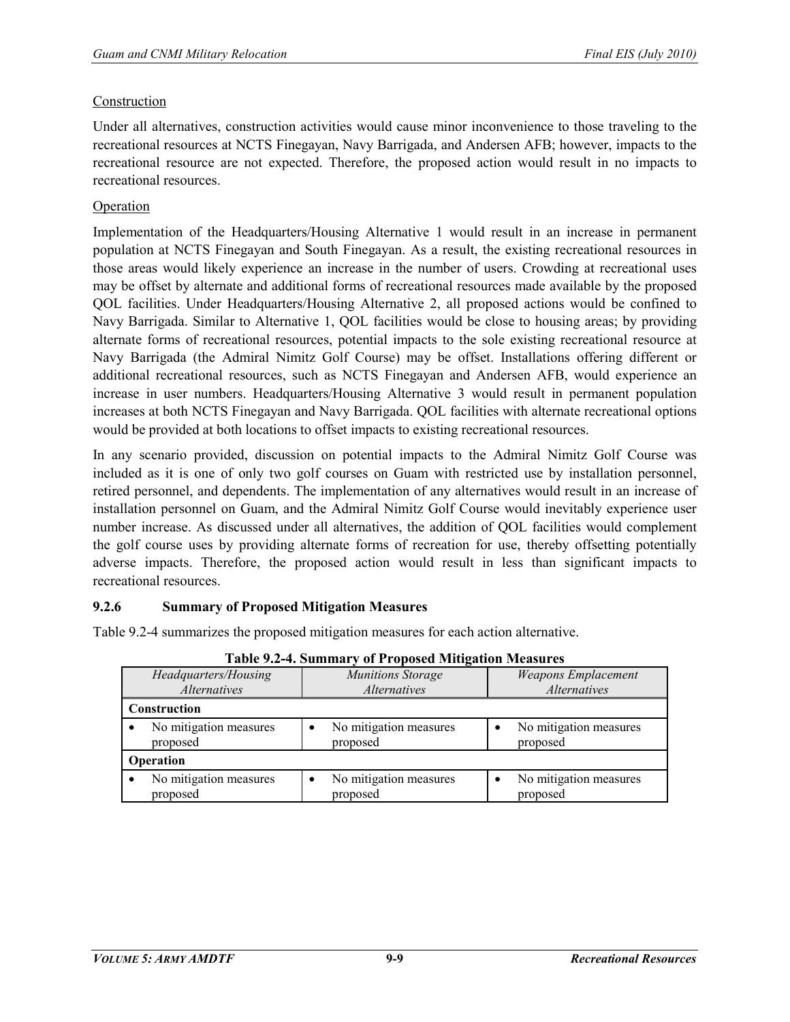#### Construction

Under all alternatives, construction activities would cause minor inconvenience to those traveling to the recreational resources at NCTS Finegayan, Navy Barrigada, and Andersen AFB; however, impacts to the recreational resource are not expected. Therefore, the proposed action would result in no impacts to recreational resources.

#### Operation

Implementation of the Headquarters/Housing Alternative 1 would result in an increase in permanent population at NCTS Finegayan and South Finegayan. As a result, the existing recreational resources in those areas would likely experience an increase in the number of users. Crowding at recreational uses may be offset by alternate and additional forms of recreational resources made available by the proposed QOL facilities. Under Headquarters/Housing Alternative 2, all proposed actions would be confined to Navy Barrigada. Similar to Alternative 1, QOL facilities would be close to housing areas; by providing alternate forms of recreational resources, potential impacts to the sole existing recreational resource at Navy Barrigada (the Admiral Nimitz Golf Course) may be offset. Installations offering different or additional recreational resources, such as NCTS Finegayan and Andersen AFB, would experience an increase in user numbers. Headquarters/Housing Alternative 3 would result in permanent population increases at both NCTS Finegayan and Navy Barrigada. QOL facilities with alternate recreational options would be provided at both locations to offset impacts to existing recreational resources.

In any scenario provided, discussion on potential impacts to the Admiral Nimitz Golf Course was included as it is one of only two golf courses on Guam with restricted use by installation personnel, retired personnel, and dependents. The implementation of any alternatives would result in an increase of installation personnel on Guam, and the Admiral Nimitz Golf Course would inevitably experience user number increase. As discussed under all alternatives, the addition of QOL facilities would complement the golf course uses by providing alternate forms of recreation for use, thereby offsetting potentially adverse impacts. Therefore, the proposed action would result in less than significant impacts to recreational resources.

#### **9.2.6 Summary of Proposed Mitigation Measures**

Table 9.2-4 summarizes the proposed mitigation measures for each action alternative.

| T apic 7.2-4. Summary or I reposed miligation measures |                                                        |                                    |  |  |  |
|--------------------------------------------------------|--------------------------------------------------------|------------------------------------|--|--|--|
| Headquarters/Housing                                   | <b>Weapons Emplacement</b><br><b>Munitions Storage</b> |                                    |  |  |  |
| <i>Alternatives</i>                                    | <i>Alternatives</i>                                    | <i>Alternatives</i>                |  |  |  |
| Construction                                           |                                                        |                                    |  |  |  |
| No mitigation measures<br>proposed                     | No mitigation measures<br>proposed                     | No mitigation measures<br>proposed |  |  |  |
| Operation                                              |                                                        |                                    |  |  |  |
| No mitigation measures<br>proposed                     | No mitigation measures<br>proposed                     | No mitigation measures<br>proposed |  |  |  |

#### **Table 9.2-4. Summary of Proposed Mitigation Measures**